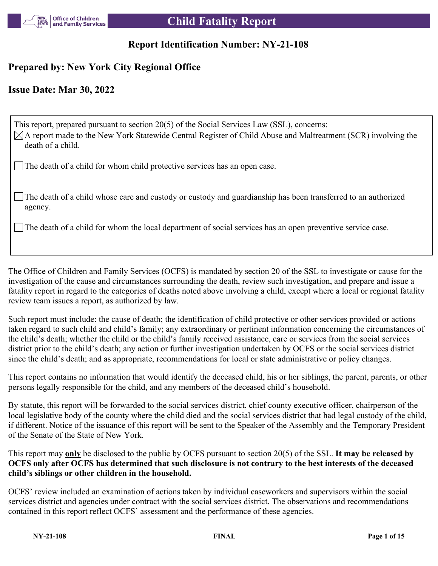

# **Report Identification Number: NY-21-108**

# **Prepared by: New York City Regional Office**

# **Issue Date: Mar 30, 2022**

This report, prepared pursuant to section 20(5) of the Social Services Law (SSL), concerns:  $\boxtimes$ A report made to the New York Statewide Central Register of Child Abuse and Maltreatment (SCR) involving the death of a child. The death of a child for whom child protective services has an open case.

The death of a child whose care and custody or custody and guardianship has been transferred to an authorized agency.

The death of a child for whom the local department of social services has an open preventive service case.

The Office of Children and Family Services (OCFS) is mandated by section 20 of the SSL to investigate or cause for the investigation of the cause and circumstances surrounding the death, review such investigation, and prepare and issue a fatality report in regard to the categories of deaths noted above involving a child, except where a local or regional fatality review team issues a report, as authorized by law.

Such report must include: the cause of death; the identification of child protective or other services provided or actions taken regard to such child and child's family; any extraordinary or pertinent information concerning the circumstances of the child's death; whether the child or the child's family received assistance, care or services from the social services district prior to the child's death; any action or further investigation undertaken by OCFS or the social services district since the child's death; and as appropriate, recommendations for local or state administrative or policy changes.

This report contains no information that would identify the deceased child, his or her siblings, the parent, parents, or other persons legally responsible for the child, and any members of the deceased child's household.

By statute, this report will be forwarded to the social services district, chief county executive officer, chairperson of the local legislative body of the county where the child died and the social services district that had legal custody of the child, if different. Notice of the issuance of this report will be sent to the Speaker of the Assembly and the Temporary President of the Senate of the State of New York.

This report may **only** be disclosed to the public by OCFS pursuant to section 20(5) of the SSL. **It may be released by OCFS only after OCFS has determined that such disclosure is not contrary to the best interests of the deceased child's siblings or other children in the household.**

OCFS' review included an examination of actions taken by individual caseworkers and supervisors within the social services district and agencies under contract with the social services district. The observations and recommendations contained in this report reflect OCFS' assessment and the performance of these agencies.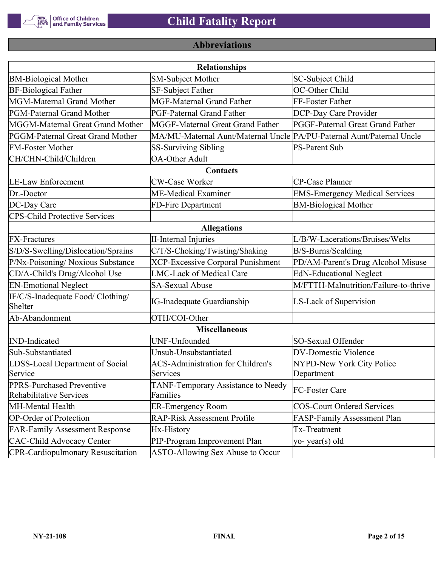

# **Abbreviations**

| <b>Relationships</b>                                 |                                                                       |                                       |  |  |  |
|------------------------------------------------------|-----------------------------------------------------------------------|---------------------------------------|--|--|--|
| <b>BM-Biological Mother</b>                          | SM-Subject Mother                                                     | SC-Subject Child                      |  |  |  |
| <b>BF-Biological Father</b>                          | SF-Subject Father                                                     | OC-Other Child                        |  |  |  |
| MGM-Maternal Grand Mother                            | <b>MGF-Maternal Grand Father</b>                                      | FF-Foster Father                      |  |  |  |
| PGM-Paternal Grand Mother                            | PGF-Paternal Grand Father                                             | DCP-Day Care Provider                 |  |  |  |
| MGGM-Maternal Great Grand Mother                     | MGGF-Maternal Great Grand Father                                      | PGGF-Paternal Great Grand Father      |  |  |  |
| PGGM-Paternal Great Grand Mother                     | MA/MU-Maternal Aunt/Maternal Uncle PA/PU-Paternal Aunt/Paternal Uncle |                                       |  |  |  |
| <b>FM-Foster Mother</b>                              | <b>SS-Surviving Sibling</b>                                           | <b>PS-Parent Sub</b>                  |  |  |  |
| CH/CHN-Child/Children                                | <b>OA-Other Adult</b>                                                 |                                       |  |  |  |
|                                                      | Contacts                                                              |                                       |  |  |  |
| <b>LE-Law Enforcement</b>                            | <b>CW-Case Worker</b>                                                 | CP-Case Planner                       |  |  |  |
| Dr.-Doctor                                           | ME-Medical Examiner                                                   | <b>EMS-Emergency Medical Services</b> |  |  |  |
| DC-Day Care                                          | FD-Fire Department                                                    | <b>BM-Biological Mother</b>           |  |  |  |
| <b>CPS-Child Protective Services</b>                 |                                                                       |                                       |  |  |  |
|                                                      | <b>Allegations</b>                                                    |                                       |  |  |  |
| <b>FX-Fractures</b>                                  | <b>II-Internal Injuries</b>                                           | L/B/W-Lacerations/Bruises/Welts       |  |  |  |
| S/D/S-Swelling/Dislocation/Sprains                   | C/T/S-Choking/Twisting/Shaking                                        | B/S-Burns/Scalding                    |  |  |  |
| P/Nx-Poisoning/ Noxious Substance                    | <b>XCP-Excessive Corporal Punishment</b>                              | PD/AM-Parent's Drug Alcohol Misuse    |  |  |  |
| CD/A-Child's Drug/Alcohol Use                        | <b>LMC-Lack of Medical Care</b>                                       | <b>EdN-Educational Neglect</b>        |  |  |  |
| <b>EN-Emotional Neglect</b>                          | <b>SA-Sexual Abuse</b>                                                | M/FTTH-Malnutrition/Failure-to-thrive |  |  |  |
| IF/C/S-Inadequate Food/ Clothing/<br>Shelter         | <b>IG-Inadequate Guardianship</b>                                     | LS-Lack of Supervision                |  |  |  |
| Ab-Abandonment                                       | OTH/COI-Other                                                         |                                       |  |  |  |
|                                                      | <b>Miscellaneous</b>                                                  |                                       |  |  |  |
| <b>IND-Indicated</b>                                 | UNF-Unfounded                                                         | SO-Sexual Offender                    |  |  |  |
| Sub-Substantiated                                    | Unsub-Unsubstantiated                                                 | <b>DV-Domestic Violence</b>           |  |  |  |
| LDSS-Local Department of Social                      | <b>ACS-Administration for Children's</b>                              | NYPD-New York City Police             |  |  |  |
| Service                                              | Services                                                              | Department                            |  |  |  |
| PPRS-Purchased Preventive<br>Rehabilitative Services | TANF-Temporary Assistance to Needy<br>Families                        | FC-Foster Care                        |  |  |  |
| MH-Mental Health                                     | <b>ER-Emergency Room</b>                                              | <b>COS-Court Ordered Services</b>     |  |  |  |
| <b>OP-Order of Protection</b>                        | <b>RAP-Risk Assessment Profile</b>                                    | FASP-Family Assessment Plan           |  |  |  |
| <b>FAR-Family Assessment Response</b>                | Hx-History                                                            | Tx-Treatment                          |  |  |  |
| <b>CAC-Child Advocacy Center</b>                     | PIP-Program Improvement Plan                                          | yo-year(s) old                        |  |  |  |
| <b>CPR-Cardiopulmonary Resuscitation</b>             | ASTO-Allowing Sex Abuse to Occur                                      |                                       |  |  |  |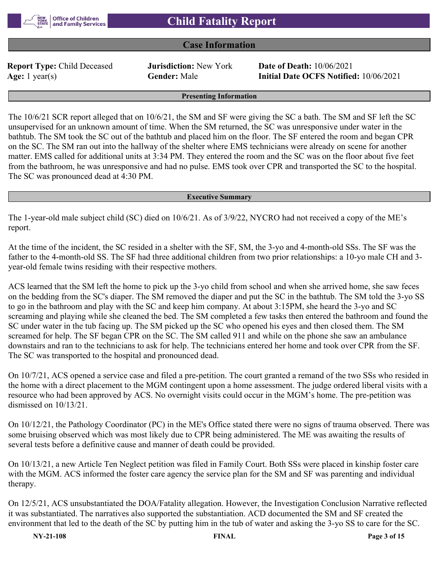

# **Case Information**

**Report Type:** Child Deceased **Jurisdiction:** New York **Date of Death:** 10/06/2021

**Age:** 1 year(s) **Gender:** Male **Initial Date OCFS Notified:** 10/06/2021

#### **Presenting Information**

The 10/6/21 SCR report alleged that on 10/6/21, the SM and SF were giving the SC a bath. The SM and SF left the SC unsupervised for an unknown amount of time. When the SM returned, the SC was unresponsive under water in the bathtub. The SM took the SC out of the bathtub and placed him on the floor. The SF entered the room and began CPR on the SC. The SM ran out into the hallway of the shelter where EMS technicians were already on scene for another matter. EMS called for additional units at 3:34 PM. They entered the room and the SC was on the floor about five feet from the bathroom, he was unresponsive and had no pulse. EMS took over CPR and transported the SC to the hospital. The SC was pronounced dead at 4:30 PM.

#### **Executive Summary**

The 1-year-old male subject child (SC) died on 10/6/21. As of 3/9/22, NYCRO had not received a copy of the ME's report.

At the time of the incident, the SC resided in a shelter with the SF, SM, the 3-yo and 4-month-old SSs. The SF was the father to the 4-month-old SS. The SF had three additional children from two prior relationships: a 10-yo male CH and 3 year-old female twins residing with their respective mothers.

ACS learned that the SM left the home to pick up the 3-yo child from school and when she arrived home, she saw feces on the bedding from the SC's diaper. The SM removed the diaper and put the SC in the bathtub. The SM told the 3-yo SS to go in the bathroom and play with the SC and keep him company. At about 3:15PM, she heard the 3-yo and SC screaming and playing while she cleaned the bed. The SM completed a few tasks then entered the bathroom and found the SC under water in the tub facing up. The SM picked up the SC who opened his eyes and then closed them. The SM screamed for help. The SF began CPR on the SC. The SM called 911 and while on the phone she saw an ambulance downstairs and ran to the technicians to ask for help. The technicians entered her home and took over CPR from the SF. The SC was transported to the hospital and pronounced dead.

On 10/7/21, ACS opened a service case and filed a pre-petition. The court granted a remand of the two SSs who resided in the home with a direct placement to the MGM contingent upon a home assessment. The judge ordered liberal visits with a resource who had been approved by ACS. No overnight visits could occur in the MGM's home. The pre-petition was dismissed on 10/13/21.

On 10/12/21, the Pathology Coordinator (PC) in the ME's Office stated there were no signs of trauma observed. There was some bruising observed which was most likely due to CPR being administered. The ME was awaiting the results of several tests before a definitive cause and manner of death could be provided.

On 10/13/21, a new Article Ten Neglect petition was filed in Family Court. Both SSs were placed in kinship foster care with the MGM. ACS informed the foster care agency the service plan for the SM and SF was parenting and individual therapy.

On 12/5/21, ACS unsubstantiated the DOA/Fatality allegation. However, the Investigation Conclusion Narrative reflected it was substantiated. The narratives also supported the substantiation. ACD documented the SM and SF created the environment that led to the death of the SC by putting him in the tub of water and asking the 3-yo SS to care for the SC.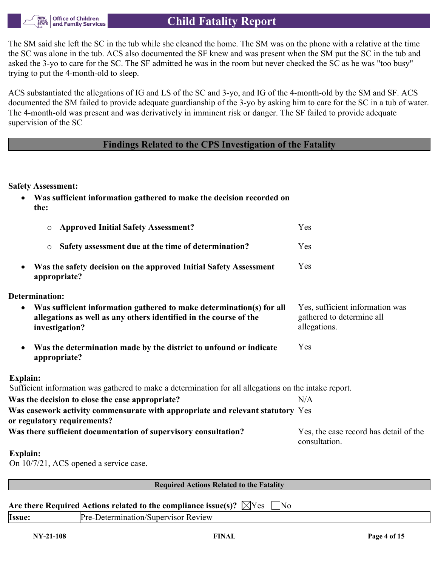

The SM said she left the SC in the tub while she cleaned the home. The SM was on the phone with a relative at the time the SC was alone in the tub. ACS also documented the SF knew and was present when the SM put the SC in the tub and asked the 3-yo to care for the SC. The SF admitted he was in the room but never checked the SC as he was "too busy" trying to put the 4-month-old to sleep.

ACS substantiated the allegations of IG and LS of the SC and 3-yo, and IG of the 4-month-old by the SM and SF. ACS documented the SM failed to provide adequate guardianship of the 3-yo by asking him to care for the SC in a tub of water. The 4-month-old was present and was derivatively in imminent risk or danger. The SF failed to provide adequate supervision of the SC

# **Findings Related to the CPS Investigation of the Fatality**

#### **Safety Assessment:**

| Was sufficient information gathered to make the decision recorded on<br>$\bullet$<br>the:                                                                                |                                                                              |
|--------------------------------------------------------------------------------------------------------------------------------------------------------------------------|------------------------------------------------------------------------------|
| <b>Approved Initial Safety Assessment?</b><br>$\circ$                                                                                                                    | Yes                                                                          |
| Safety assessment due at the time of determination?<br>$\circ$                                                                                                           | Yes                                                                          |
| Was the safety decision on the approved Initial Safety Assessment<br>٠<br>appropriate?                                                                                   | Yes                                                                          |
| <b>Determination:</b>                                                                                                                                                    |                                                                              |
| Was sufficient information gathered to make determination(s) for all<br>$\bullet$<br>allegations as well as any others identified in the course of the<br>investigation? | Yes, sufficient information was<br>gathered to determine all<br>allegations. |
| Was the determination made by the district to unfound or indicate<br>$\bullet$<br>appropriate?                                                                           | Yes                                                                          |
| <b>Explain:</b>                                                                                                                                                          |                                                                              |
| Sufficient information was gathered to make a determination for all allegations on the intake report.                                                                    |                                                                              |
| Was the decision to close the case appropriate?                                                                                                                          | N/A                                                                          |
| Was casework activity commensurate with appropriate and relevant statutory Yes<br>or regulatory requirements?                                                            |                                                                              |
| Was there sufficient documentation of supervisory consultation?                                                                                                          | Yes, the case record has detail of the<br>consultation.                      |
| Explain:                                                                                                                                                                 |                                                                              |

On 10/7/21, ACS opened a service case.

**Required Actions Related to the Fatality**

### Are there Required Actions related to the compliance issue(s)?  $\boxtimes$  Yes  $\Box$  No

| Issue | Review<br>.<br>. .<br>VISO.<br>эн эшэе |
|-------|----------------------------------------|
|       |                                        |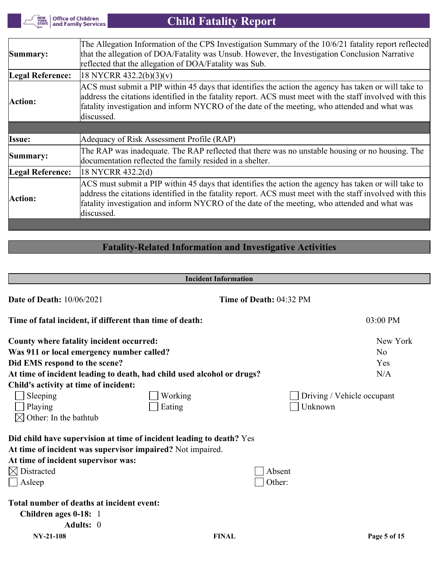**THEW**<br>YORK Office of Children<br>STATE and Family Services

# **Child Fatality Report**

| Summary:         | The Allegation Information of the CPS Investigation Summary of the 10/6/21 fatality report reflected<br>that the allegation of DOA/Fatality was Unsub. However, the Investigation Conclusion Narrative<br>reflected that the allegation of DOA/Fatality was Sub.                                                                |
|------------------|---------------------------------------------------------------------------------------------------------------------------------------------------------------------------------------------------------------------------------------------------------------------------------------------------------------------------------|
| Legal Reference: | 18 NYCRR 432.2(b)(3)(v)                                                                                                                                                                                                                                                                                                         |
| Action:          | ACS must submit a PIP within 45 days that identifies the action the agency has taken or will take to<br>address the citations identified in the fatality report. ACS must meet with the staff involved with this<br>fatality investigation and inform NYCRO of the date of the meeting, who attended and what was<br>discussed. |
|                  |                                                                                                                                                                                                                                                                                                                                 |
| Issue:           | Adequacy of Risk Assessment Profile (RAP)                                                                                                                                                                                                                                                                                       |
| Summary:         | The RAP was inadequate. The RAP reflected that there was no unstable housing or no housing. The<br>documentation reflected the family resided in a shelter.                                                                                                                                                                     |
| Legal Reference: | 18 NYCRR 432.2(d)                                                                                                                                                                                                                                                                                                               |
| Action:          | ACS must submit a PIP within 45 days that identifies the action the agency has taken or will take to<br>address the citations identified in the fatality report. ACS must meet with the staff involved with this<br>fatality investigation and inform NYCRO of the date of the meeting, who attended and what was<br>discussed. |

# **Fatality-Related Information and Investigative Activities**

|                                                                        | <b>Incident Information</b> |                         |                            |
|------------------------------------------------------------------------|-----------------------------|-------------------------|----------------------------|
| <b>Date of Death: 10/06/2021</b>                                       |                             | Time of Death: 04:32 PM |                            |
| Time of fatal incident, if different than time of death:               |                             |                         | 03:00 PM                   |
| County where fatality incident occurred:                               |                             |                         | New York                   |
| Was 911 or local emergency number called?                              |                             |                         | N <sub>0</sub>             |
| Did EMS respond to the scene?                                          |                             |                         | Yes                        |
| At time of incident leading to death, had child used alcohol or drugs? |                             |                         | N/A                        |
| Child's activity at time of incident:                                  |                             |                         |                            |
| Sleeping                                                               | Working                     |                         | Driving / Vehicle occupant |
| Playing                                                                | Eating                      | Unknown                 |                            |
| Other: In the bathtub                                                  |                             |                         |                            |
| Did child have supervision at time of incident leading to death? Yes   |                             |                         |                            |
| At time of incident was supervisor impaired? Not impaired.             |                             |                         |                            |
| At time of incident supervisor was:                                    |                             |                         |                            |
| $\boxtimes$ Distracted                                                 |                             | Absent                  |                            |
| Asleep                                                                 |                             | Other:                  |                            |
| Total number of deaths at incident event:                              |                             |                         |                            |
| Children ages 0-18: 1                                                  |                             |                         |                            |
| Adults: 0                                                              |                             |                         |                            |
| <b>NY-21-108</b>                                                       | <b>FINAL</b>                |                         | Page 5 of 15               |

 $\mathbb{R}^2$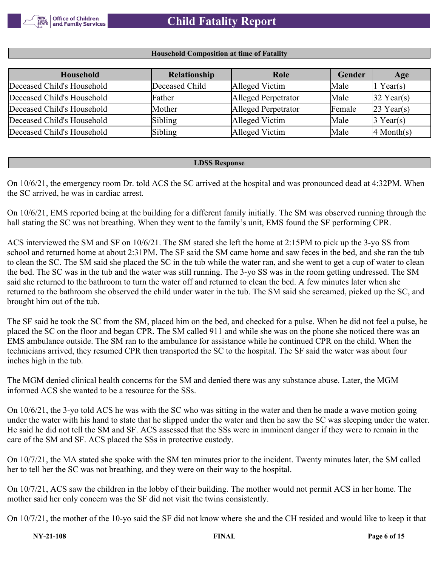

#### **Household Composition at time of Fatality**

| <b>Household</b>           | Relationship   | Role                | Gender | Age                              |
|----------------------------|----------------|---------------------|--------|----------------------------------|
| Deceased Child's Household | Deceased Child | Alleged Victim      | Male   | Year(s)                          |
| Deceased Child's Household | Father         | Alleged Perpetrator | Male   | $32$ Year(s)                     |
| Deceased Child's Household | Mother         | Alleged Perpetrator | Female | $23$ Year(s)                     |
| Deceased Child's Household | Sibling        | Alleged Victim      | Male   | $\beta$ Year(s)                  |
| Deceased Child's Household | Sibling        | Alleged Victim      | Male   | $\vert 4 \text{ Month}(s) \vert$ |

#### **LDSS Response**

On 10/6/21, the emergency room Dr. told ACS the SC arrived at the hospital and was pronounced dead at 4:32PM. When the SC arrived, he was in cardiac arrest.

On 10/6/21, EMS reported being at the building for a different family initially. The SM was observed running through the hall stating the SC was not breathing. When they went to the family's unit, EMS found the SF performing CPR.

ACS interviewed the SM and SF on 10/6/21. The SM stated she left the home at 2:15PM to pick up the 3-yo SS from school and returned home at about 2:31PM. The SF said the SM came home and saw feces in the bed, and she ran the tub to clean the SC. The SM said she placed the SC in the tub while the water ran, and she went to get a cup of water to clean the bed. The SC was in the tub and the water was still running. The 3-yo SS was in the room getting undressed. The SM said she returned to the bathroom to turn the water off and returned to clean the bed. A few minutes later when she returned to the bathroom she observed the child under water in the tub. The SM said she screamed, picked up the SC, and brought him out of the tub.

The SF said he took the SC from the SM, placed him on the bed, and checked for a pulse. When he did not feel a pulse, he placed the SC on the floor and began CPR. The SM called 911 and while she was on the phone she noticed there was an EMS ambulance outside. The SM ran to the ambulance for assistance while he continued CPR on the child. When the technicians arrived, they resumed CPR then transported the SC to the hospital. The SF said the water was about four inches high in the tub.

The MGM denied clinical health concerns for the SM and denied there was any substance abuse. Later, the MGM informed ACS she wanted to be a resource for the SSs.

On 10/6/21, the 3-yo told ACS he was with the SC who was sitting in the water and then he made a wave motion going under the water with his hand to state that he slipped under the water and then he saw the SC was sleeping under the water. He said he did not tell the SM and SF. ACS assessed that the SSs were in imminent danger if they were to remain in the care of the SM and SF. ACS placed the SSs in protective custody.

On 10/7/21, the MA stated she spoke with the SM ten minutes prior to the incident. Twenty minutes later, the SM called her to tell her the SC was not breathing, and they were on their way to the hospital.

On 10/7/21, ACS saw the children in the lobby of their building. The mother would not permit ACS in her home. The mother said her only concern was the SF did not visit the twins consistently.

On 10/7/21, the mother of the 10-yo said the SF did not know where she and the CH resided and would like to keep it that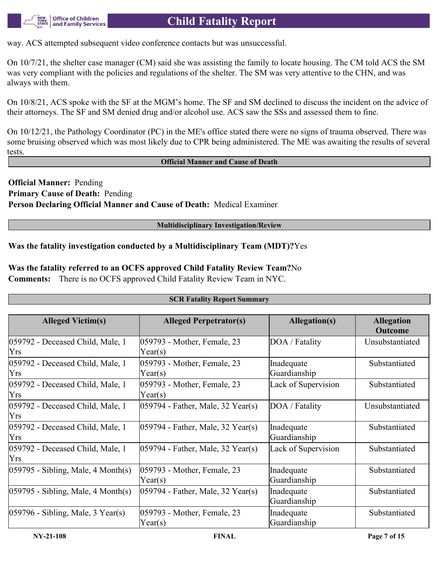

way. ACS attempted subsequent video conference contacts but was unsuccessful.

On 10/7/21, the shelter case manager (CM) said she was assisting the family to locate housing. The CM told ACS the SM was very compliant with the policies and regulations of the shelter. The SM was very attentive to the CHN, and was always with them.

On 10/8/21, ACS spoke with the SF at the MGM's home. The SF and SM declined to discuss the incident on the advice of their attorneys. The SF and SM denied drug and/or alcohol use. ACS saw the SSs and assessed them to fine.

On 10/12/21, the Pathology Coordinator (PC) in the ME's office stated there were no signs of trauma observed. There was some bruising observed which was most likely due to CPR being administered. The ME was awaiting the results of several tests.

#### **Official Manner and Cause of Death**

**Official Manner:** Pending **Primary Cause of Death:** Pending **Person Declaring Official Manner and Cause of Death:** Medical Examiner

#### **Multidisciplinary Investigation/Review**

**SCR Fatality Report Summary**

**Was the fatality investigation conducted by a Multidisciplinary Team (MDT)?**Yes

**Was the fatality referred to an OCFS approved Child Fatality Review Team?**No

**Comments:** There is no OCFS approved Child Fatality Review Team in NYC.

| <b>Alleged Victim(s)</b>                       | <b>Alleged Perpetrator(s)</b>          | Allegation(s)              | <b>Allegation</b><br><b>Outcome</b> |
|------------------------------------------------|----------------------------------------|----------------------------|-------------------------------------|
| 059792 - Deceased Child, Male, 1<br>Yrs        | 059793 - Mother, Female, 23<br>Year(s) | DOA / Fatality             | Unsubstantiated                     |
| 059792 - Deceased Child, Male, 1<br><b>Yrs</b> | 059793 - Mother, Female, 23<br>Year(s) | Inadequate<br>Guardianship | Substantiated                       |
| 059792 - Deceased Child, Male, 1<br><b>Yrs</b> | 059793 - Mother, Female, 23<br>Year(s) | Lack of Supervision        | Substantiated                       |
| 059792 - Deceased Child, Male, 1<br><b>Yrs</b> | 059794 - Father, Male, 32 Year(s)      | DOA / Fatality             | Unsubstantiated                     |
| 059792 - Deceased Child, Male, 1<br>Yrs        | $ 059794$ - Father, Male, 32 Year(s)   | Inadequate<br>Guardianship | Substantiated                       |
| 059792 - Deceased Child, Male, 1<br>Yrs        | $ 059794 - Father$ , Male, 32 Year(s)  | Lack of Supervision        | Substantiated                       |
| $ 059795 - Sibling, Male, 4 Month(s) $         | 059793 - Mother, Female, 23<br>Year(s) | Inadequate<br>Guardianship | Substantiated                       |
| $ 059795 - Sibling, Male, 4 Month(s) $         | $ 059794 - Father$ , Male, 32 Year(s)  | Inadequate<br>Guardianship | Substantiated                       |
| $ 059796 - Sibling, Male, 3 Year(s) $          | 059793 - Mother, Female, 23<br>Year(s) | Inadequate<br>Guardianship | Substantiated                       |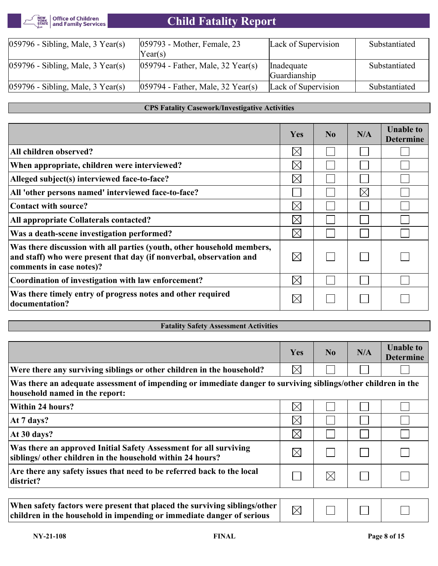

| $ 059796 - Sibling, Male, 3 Year(s) $ | [059793 - Mother, Female, 23                                | Lack of Supervision | Substantiated |
|---------------------------------------|-------------------------------------------------------------|---------------------|---------------|
|                                       | Year(s)                                                     |                     |               |
| $ 059796 - Sibling, Male, 3 Year(s) $ | $ 059794 - \text{Father}, \text{Male}, 32 \text{ Year}(s) $ | Inadequate          | Substantiated |
|                                       |                                                             | Guardianship        |               |
| $ 059796 - Sibling, Male, 3 Year(s) $ | $ 059794 - Father$ , Male, 32 Year(s)                       | Lack of Supervision | Substantiated |

#### **CPS Fatality Casework/Investigative Activities**

|                                                                                                                                                                           | Yes         | $\bf No$ | N/A         | <b>Unable to</b><br><b>Determine</b> |
|---------------------------------------------------------------------------------------------------------------------------------------------------------------------------|-------------|----------|-------------|--------------------------------------|
| All children observed?                                                                                                                                                    | $\boxtimes$ |          |             |                                      |
| When appropriate, children were interviewed?                                                                                                                              | $\boxtimes$ |          |             |                                      |
| Alleged subject(s) interviewed face-to-face?                                                                                                                              | $\boxtimes$ |          |             |                                      |
| All 'other persons named' interviewed face-to-face?                                                                                                                       |             |          | $\boxtimes$ |                                      |
| Contact with source?                                                                                                                                                      | $\boxtimes$ |          |             |                                      |
| All appropriate Collaterals contacted?                                                                                                                                    | $\boxtimes$ |          |             |                                      |
| Was a death-scene investigation performed?                                                                                                                                | $\times$    |          |             |                                      |
| Was there discussion with all parties (youth, other household members,<br>and staff) who were present that day (if nonverbal, observation and<br>comments in case notes)? | $\boxtimes$ |          |             |                                      |
| Coordination of investigation with law enforcement?                                                                                                                       | $\boxtimes$ |          |             |                                      |
| Was there timely entry of progress notes and other required<br>documentation?                                                                                             | $\boxtimes$ |          |             |                                      |

# **Fatality Safety Assessment Activities**

|                                                                                                                                                 | <b>Yes</b>  | $\bf No$    | N/A | <b>Unable to</b><br><b>Determine</b> |
|-------------------------------------------------------------------------------------------------------------------------------------------------|-------------|-------------|-----|--------------------------------------|
| Were there any surviving siblings or other children in the household?                                                                           | $\boxtimes$ |             |     |                                      |
| Was there an adequate assessment of impending or immediate danger to surviving siblings/other children in the<br>household named in the report: |             |             |     |                                      |
| Within 24 hours?                                                                                                                                | $\boxtimes$ |             |     |                                      |
| At 7 days?                                                                                                                                      | $\boxtimes$ |             |     |                                      |
| At 30 days?                                                                                                                                     | $\boxtimes$ |             |     |                                      |
| Was there an approved Initial Safety Assessment for all surviving<br>siblings/ other children in the household within 24 hours?                 | $\boxtimes$ |             |     |                                      |
| Are there any safety issues that need to be referred back to the local<br>district?                                                             |             | $\boxtimes$ |     |                                      |

| When safety factors were present that placed the surviving siblings/other  <br>children in the household in impending or immediate danger of serious | $\sum$ |  |  |  |  |
|------------------------------------------------------------------------------------------------------------------------------------------------------|--------|--|--|--|--|
|------------------------------------------------------------------------------------------------------------------------------------------------------|--------|--|--|--|--|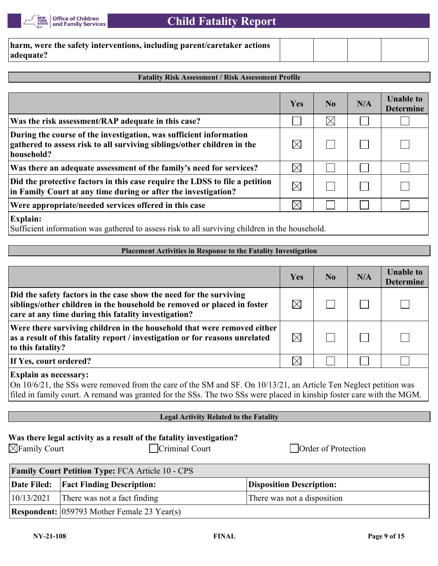

| harm, were the safety interventions, including parent/caretaker actions |  |  |
|-------------------------------------------------------------------------|--|--|
| adequate?                                                               |  |  |

#### **Fatality Risk Assessment / Risk Assessment Profile**

|                                                                                                                                                             | Yes         | N <sub>0</sub> | N/A | <b>Unable to</b><br><b>Determine</b> |
|-------------------------------------------------------------------------------------------------------------------------------------------------------------|-------------|----------------|-----|--------------------------------------|
| Was the risk assessment/RAP adequate in this case?                                                                                                          |             | $\times$       |     |                                      |
| During the course of the investigation, was sufficient information<br>gathered to assess risk to all surviving siblings/other children in the<br>household? | $\boxtimes$ |                |     |                                      |
| Was there an adequate assessment of the family's need for services?                                                                                         | $\boxtimes$ |                |     |                                      |
| Did the protective factors in this case require the LDSS to file a petition<br>in Family Court at any time during or after the investigation?               | $\boxtimes$ |                |     |                                      |
| Were appropriate/needed services offered in this case                                                                                                       | $\rtimes$   |                |     |                                      |
| <b>Explain:</b><br>Sufficient information was gathered to assess risk to all surviving children in the household.                                           |             |                |     |                                      |

#### **Placement Activities in Response to the Fatality Investigation**

|                                                                                                                                                                                                       | Yes         | N <sub>0</sub> | N/A | <b>Unable to</b><br><b>Determine</b> |
|-------------------------------------------------------------------------------------------------------------------------------------------------------------------------------------------------------|-------------|----------------|-----|--------------------------------------|
| Did the safety factors in the case show the need for the surviving<br>siblings/other children in the household be removed or placed in foster<br>care at any time during this fatality investigation? | $\boxtimes$ |                |     |                                      |
| Were there surviving children in the household that were removed either<br>as a result of this fatality report / investigation or for reasons unrelated<br>to this fatality?                          | $\boxtimes$ |                |     |                                      |
| If Yes, court ordered?                                                                                                                                                                                | $\times$    |                |     |                                      |

## **Explain as necessary:**

On 10/6/21, the SSs were removed from the care of the SM and SF. On 10/13/21, an Article Ten Neglect petition was filed in family court. A remand was granted for the SSs. The two SSs were placed in kinship foster care with the MGM.

# **Legal Activity Related to the Fatality**

|  |  | Was there legal activity as a result of the fatality investigation? |  |
|--|--|---------------------------------------------------------------------|--|
|  |  |                                                                     |  |

 $\Box$ Family Court  $\Box$ Criminal Court  $\Box$ Order of Protection

| <b>Family Court Petition Type: FCA Article 10 - CPS</b> |                                                       |                                 |  |
|---------------------------------------------------------|-------------------------------------------------------|---------------------------------|--|
|                                                         | Date Filed:   Fact Finding Description:               | <b>Disposition Description:</b> |  |
| 10/13/2021                                              | There was not a fact finding                          | There was not a disposition     |  |
|                                                         | <b>Respondent:</b> $(059793$ Mother Female 23 Year(s) |                                 |  |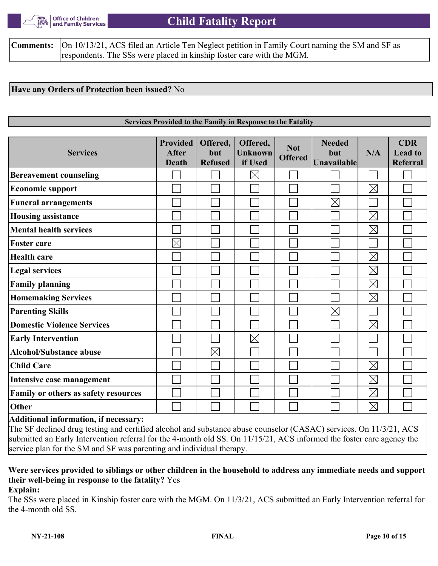

**Comments:**  $\vert$ On 10/13/21, ACS filed an Article Ten Neglect petition in Family Court naming the SM and SF as respondents. The SSs were placed in kinship foster care with the MGM.

### **Have any Orders of Protection been issued?** No

#### **Services Provided to the Family in Response to the Fatality**

| <b>Services</b>                      | <b>Provided</b><br><b>After</b><br>Death | Offered,<br>but<br><b>Refused</b> | Offered,<br><b>Unknown</b><br>if Used | <b>Not</b><br><b>Offered</b> | <b>Needed</b><br>but<br>Unavailable | N/A         | <b>CDR</b><br><b>Lead to</b><br><b>Referral</b> |
|--------------------------------------|------------------------------------------|-----------------------------------|---------------------------------------|------------------------------|-------------------------------------|-------------|-------------------------------------------------|
| <b>Bereavement counseling</b>        |                                          |                                   | $\boxtimes$                           |                              |                                     |             |                                                 |
| <b>Economic support</b>              |                                          |                                   |                                       |                              |                                     | $\boxtimes$ |                                                 |
| <b>Funeral arrangements</b>          |                                          |                                   |                                       |                              | $\boxtimes$                         |             |                                                 |
| <b>Housing assistance</b>            |                                          |                                   |                                       |                              |                                     | $\boxtimes$ |                                                 |
| <b>Mental health services</b>        |                                          |                                   |                                       |                              |                                     | $\boxtimes$ |                                                 |
| <b>Foster care</b>                   | $\boxtimes$                              |                                   |                                       |                              |                                     |             |                                                 |
| <b>Health care</b>                   |                                          |                                   |                                       |                              |                                     | $\boxtimes$ |                                                 |
| <b>Legal services</b>                |                                          |                                   |                                       |                              |                                     | $\boxtimes$ |                                                 |
| <b>Family planning</b>               |                                          |                                   |                                       |                              |                                     | $\boxtimes$ |                                                 |
| <b>Homemaking Services</b>           |                                          |                                   |                                       |                              |                                     | $\boxtimes$ |                                                 |
| <b>Parenting Skills</b>              |                                          |                                   |                                       |                              | $\boxtimes$                         |             |                                                 |
| <b>Domestic Violence Services</b>    |                                          |                                   |                                       |                              |                                     | $\boxtimes$ |                                                 |
| <b>Early Intervention</b>            |                                          |                                   | $\times$                              |                              |                                     |             |                                                 |
| <b>Alcohol/Substance abuse</b>       |                                          | $\boxtimes$                       |                                       |                              |                                     |             |                                                 |
| <b>Child Care</b>                    |                                          |                                   |                                       |                              |                                     | $\boxtimes$ |                                                 |
| Intensive case management            |                                          |                                   |                                       |                              |                                     | $\boxtimes$ |                                                 |
| Family or others as safety resources |                                          |                                   |                                       |                              |                                     | $\boxtimes$ |                                                 |
| Other<br>$\blacksquare$              |                                          |                                   |                                       |                              |                                     | $\boxtimes$ |                                                 |

#### **Additional information, if necessary:**

The SF declined drug testing and certified alcohol and substance abuse counselor (CASAC) services. On 11/3/21, ACS submitted an Early Intervention referral for the 4-month old SS. On 11/15/21, ACS informed the foster care agency the service plan for the SM and SF was parenting and individual therapy.

# **Were services provided to siblings or other children in the household to address any immediate needs and support their well-being in response to the fatality?** Yes

**Explain:**

The SSs were placed in Kinship foster care with the MGM. On 11/3/21, ACS submitted an Early Intervention referral for the 4-month old SS.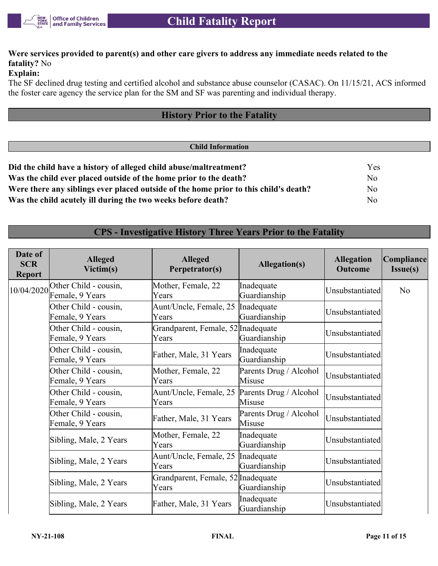

# **Were services provided to parent(s) and other care givers to address any immediate needs related to the fatality?** No

### **Explain:**

The SF declined drug testing and certified alcohol and substance abuse counselor (CASAC). On 11/15/21, ACS informed the foster care agency the service plan for the SM and SF was parenting and individual therapy.

# **History Prior to the Fatality**

# **Child Information Did the child have a history of alleged child abuse/maltreatment?** Yes **Was the child ever placed outside of the home prior to the death?** No **Were there any siblings ever placed outside of the home prior to this child's death?** No **Was the child acutely ill during the two weeks before death?** No

# **CPS - Investigative History Three Years Prior to the Fatality**

| Date of<br><b>SCR</b><br><b>Report</b> | <b>Alleged</b><br>Victim(s)              | <b>Alleged</b><br>Perpetrator(s)             | <b>Allegation(s)</b>             | <b>Allegation</b><br>Outcome | Compliance<br>Issue(s) |
|----------------------------------------|------------------------------------------|----------------------------------------------|----------------------------------|------------------------------|------------------------|
| 10/04/2020                             | Other Child - cousin,<br>Female, 9 Years | Mother, Female, 22<br>Years                  | Inadequate<br>Guardianship       | Unsubstantiated              | N <sub>o</sub>         |
|                                        | Other Child - cousin,<br>Female, 9 Years | Aunt/Uncle, Female, 25   Inadequate<br>Years | Guardianship                     | Unsubstantiated              |                        |
|                                        | Other Child - cousin,<br>Female, 9 Years | Grandparent, Female, 52 Inadequate<br>Years  | Guardianship                     | Unsubstantiated              |                        |
|                                        | Other Child - cousin,<br>Female, 9 Years | Father, Male, 31 Years                       | Inadequate<br>Guardianship       | Unsubstantiated              |                        |
|                                        | Other Child - cousin,<br>Female, 9 Years | Mother, Female, 22<br>Years                  | Parents Drug / Alcohol<br>Misuse | Unsubstantiated              |                        |
|                                        | Other Child - cousin,<br>Female, 9 Years | Aunt/Uncle, Female, 25<br>Years              | Parents Drug / Alcohol<br>Misuse | Unsubstantiated              |                        |
|                                        | Other Child - cousin,<br>Female, 9 Years | Father, Male, 31 Years                       | Parents Drug / Alcohol<br>Misuse | Unsubstantiated              |                        |
|                                        | Sibling, Male, 2 Years                   | Mother, Female, 22<br>Years                  | Inadequate<br>Guardianship       | Unsubstantiated              |                        |
|                                        | Sibling, Male, 2 Years                   | Aunt/Uncle, Female, 25<br>Years              | Inadequate<br>Guardianship       | Unsubstantiated              |                        |
|                                        | Sibling, Male, 2 Years                   | Grandparent, Female, 52 Inadequate<br>Years  | Guardianship                     | Unsubstantiated              |                        |
|                                        | Sibling, Male, 2 Years                   | Father, Male, 31 Years                       | Inadequate<br>Guardianship       | Unsubstantiated              |                        |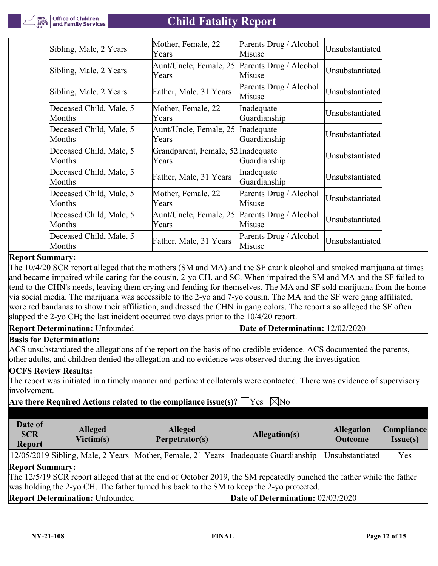| Sibling, Male, 2 Years            | Mother, Female, 22<br>Years                 | Parents Drug / Alcohol<br>Misuse | Unsubstantiated |
|-----------------------------------|---------------------------------------------|----------------------------------|-----------------|
| Sibling, Male, 2 Years            | Aunt/Uncle, Female, 25<br>Years             | Parents Drug / Alcohol<br>Misuse | Unsubstantiated |
| Sibling, Male, 2 Years            | Father, Male, 31 Years                      | Parents Drug / Alcohol<br>Misuse | Unsubstantiated |
| Deceased Child, Male, 5<br>Months | Mother, Female, 22<br>Years                 | Inadequate<br>Guardianship       | Unsubstantiated |
| Deceased Child, Male, 5<br>Months | Aunt/Uncle, Female, 25<br>Years             | Inadequate<br>Guardianship       | Unsubstantiated |
| Deceased Child, Male, 5<br>Months | Grandparent, Female, 52 Inadequate<br>Years | Guardianship                     | Unsubstantiated |
| Deceased Child, Male, 5<br>Months | Father, Male, 31 Years                      | Inadequate<br>Guardianship       | Unsubstantiated |
| Deceased Child, Male, 5<br>Months | Mother, Female, 22<br>Years                 | Parents Drug / Alcohol<br>Misuse | Unsubstantiated |
| Deceased Child, Male, 5<br>Months | Aunt/Uncle, Female, 25<br>Years             | Parents Drug / Alcohol<br>Misuse | Unsubstantiated |
| Deceased Child, Male, 5<br>Months | Father, Male, 31 Years                      | Parents Drug / Alcohol<br>Misuse | Unsubstantiated |

## **Report Summary:**

The 10/4/20 SCR report alleged that the mothers (SM and MA) and the SF drank alcohol and smoked marijuana at times and became impaired while caring for the cousin, 2-yo CH, and SC. When impaired the SM and MA and the SF failed to tend to the CHN's needs, leaving them crying and fending for themselves. The MA and SF sold marijuana from the home via social media. The marijuana was accessible to the 2-yo and 7-yo cousin. The MA and the SF were gang affiliated, wore red bandanas to show their affiliation, and dressed the CHN in gang colors. The report also alleged the SF often slapped the 2-yo CH; the last incident occurred two days prior to the 10/4/20 report.

| <b>Report Determination: Unfounded</b> | <b>Date of Determination: 12/02/2020</b> |
|----------------------------------------|------------------------------------------|
|                                        |                                          |

### **Basis for Determination:**

ACS unsubstantiated the allegations of the report on the basis of no credible evidence. ACS documented the parents, other adults, and children denied the allegation and no evidence was observed during the investigation

### **OCFS Review Results:**

The report was initiated in a timely manner and pertinent collaterals were contacted. There was evidence of supervisory involvement.

## **Are there Required Actions related to the compliance issue(s)?**  $\Box$  Yes  $\Box$  No

| Date of<br><b>SCR</b><br><b>Report</b> | <b>Alleged</b><br>Victim(s) | <b>Alleged</b><br>Perpetrator(s)                                                   | Allegation(s) | <b>Allegation</b><br><b>Outcome</b> | Compliance <br><b>Issue(s)</b> |
|----------------------------------------|-----------------------------|------------------------------------------------------------------------------------|---------------|-------------------------------------|--------------------------------|
|                                        |                             | 12/05/2019 Sibling, Male, 2 Years Mother, Female, 21 Years Inadequate Guardianship |               | Unsubstantiated                     | Yes                            |
| <b>Report Summary:</b>                 |                             |                                                                                    |               |                                     |                                |

The 12/5/19 SCR report alleged that at the end of October 2019, the SM repeatedly punched the father while the father was holding the 2-yo CH. The father turned his back to the SM to keep the 2-yo protected.

| <b>Report Determination: Unfounded</b><br>Date of Determination: $02/03/2020$ |  |
|-------------------------------------------------------------------------------|--|
|-------------------------------------------------------------------------------|--|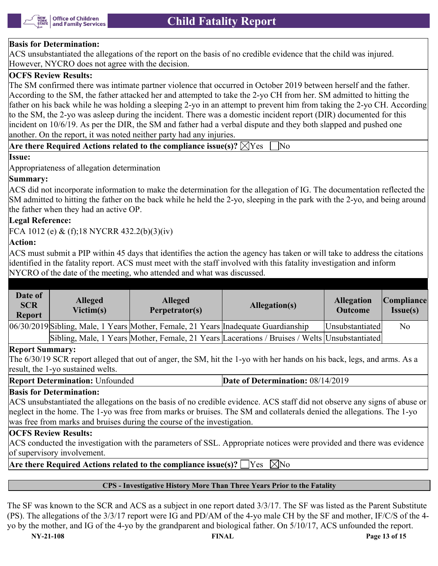

### **Basis for Determination:**

ACS unsubstantiated the allegations of the report on the basis of no credible evidence that the child was injured. However, NYCRO does not agree with the decision.

# **OCFS Review Results:**

The SM confirmed there was intimate partner violence that occurred in October 2019 between herself and the father. According to the SM, the father attacked her and attempted to take the 2-yo CH from her. SM admitted to hitting the father on his back while he was holding a sleeping 2-yo in an attempt to prevent him from taking the 2-yo CH. According to the SM, the 2-yo was asleep during the incident. There was a domestic incident report (DIR) documented for this incident on 10/6/19. As per the DIR, the SM and father had a verbal dispute and they both slapped and pushed one another. On the report, it was noted neither party had any injuries.

**Are there Required Actions related to the compliance issue(s)?**  $\boxtimes$  Yes  $\Box$  No

#### **Issue:**

Appropriateness of allegation determination

### **Summary:**

ACS did not incorporate information to make the determination for the allegation of IG. The documentation reflected the SM admitted to hitting the father on the back while he held the 2-yo, sleeping in the park with the 2-yo, and being around the father when they had an active OP.

## **Legal Reference:**

FCA 1012 (e) & (f);18 NYCRR 432.2(b)(3)(iv)

### **Action:**

ACS must submit a PIP within 45 days that identifies the action the agency has taken or will take to address the citations identified in the fatality report. ACS must meet with the staff involved with this fatality investigation and inform NYCRO of the date of the meeting, who attended and what was discussed.

| Date of<br><b>SCR</b><br><b>Report</b> | <b>Alleged</b><br>Victim(s) | <b>Alleged</b><br>Perpetrator(s)                                                   | Allegation(s)                                                                                 | <b>Allegation</b><br><b>Outcome</b> | Compliance <br>Issue(s) |
|----------------------------------------|-----------------------------|------------------------------------------------------------------------------------|-----------------------------------------------------------------------------------------------|-------------------------------------|-------------------------|
|                                        |                             | 06/30/2019 Sibling, Male, 1 Years Mother, Female, 21 Years Inadequate Guardianship |                                                                                               | Unsubstantiated                     | N <sub>o</sub>          |
|                                        |                             |                                                                                    | Sibling, Male, 1 Years Mother, Female, 21 Years Lacerations / Bruises / Welts Unsubstantiated |                                     |                         |

### **Report Summary:**

The 6/30/19 SCR report alleged that out of anger, the SM, hit the 1-yo with her hands on his back, legs, and arms. As a result, the 1-yo sustained welts.

**Report Determination:** Unfounded **Date of Determination: 08/14/2019** 

#### **Basis for Determination:**

ACS unsubstantiated the allegations on the basis of no credible evidence. ACS staff did not observe any signs of abuse or neglect in the home. The 1-yo was free from marks or bruises. The SM and collaterals denied the allegations. The 1-yo was free from marks and bruises during the course of the investigation.

#### **OCFS Review Results:**

ACS conducted the investigation with the parameters of SSL. Appropriate notices were provided and there was evidence of supervisory involvement.

**Are there Required Actions related to the compliance issue(s)?**  $\Box$  Yes  $\Box$  No

### **CPS - Investigative History More Than Three Years Prior to the Fatality**

The SF was known to the SCR and ACS as a subject in one report dated 3/3/17. The SF was listed as the Parent Substitute (PS). The allegations of the 3/3/17 report were IG and PD/AM of the 4-yo male CH by the SF and mother, IF/C/S of the 4 yo by the mother, and IG of the 4-yo by the grandparent and biological father. On 5/10/17, ACS unfounded the report.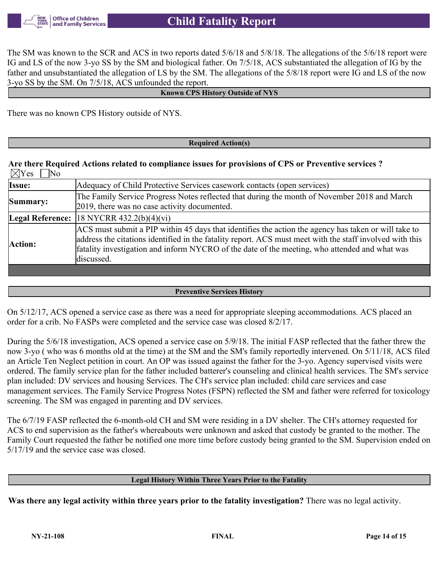

The SM was known to the SCR and ACS in two reports dated 5/6/18 and 5/8/18. The allegations of the 5/6/18 report were IG and LS of the now 3-yo SS by the SM and biological father. On 7/5/18, ACS substantiated the allegation of IG by the father and unsubstantiated the allegation of LS by the SM. The allegations of the 5/8/18 report were IG and LS of the now 3-yo SS by the SM. On 7/5/18, ACS unfounded the report.

#### **Known CPS History Outside of NYS**

There was no known CPS History outside of NYS.

#### **Required Action(s)**

#### **Are there Required Actions related to compliance issues for provisions of CPS or Preventive services ?**  $\boxtimes$ Yes  $\Box$ No

| Issue:   | Adequacy of Child Protective Services casework contacts (open services)                                                                                                                                                                                                                                                         |
|----------|---------------------------------------------------------------------------------------------------------------------------------------------------------------------------------------------------------------------------------------------------------------------------------------------------------------------------------|
| Summary: | The Family Service Progress Notes reflected that during the month of November 2018 and March<br>2019, there was no case activity documented.                                                                                                                                                                                    |
|          | Legal Reference: $ 18 \text{ NYCRR } 432.2(b)(4)(vi)$                                                                                                                                                                                                                                                                           |
| Action:  | ACS must submit a PIP within 45 days that identifies the action the agency has taken or will take to<br>address the citations identified in the fatality report. ACS must meet with the staff involved with this<br>fatality investigation and inform NYCRO of the date of the meeting, who attended and what was<br>discussed. |
|          |                                                                                                                                                                                                                                                                                                                                 |

#### **Preventive Services History**

On 5/12/17, ACS opened a service case as there was a need for appropriate sleeping accommodations. ACS placed an order for a crib. No FASPs were completed and the service case was closed 8/2/17.

During the 5/6/18 investigation, ACS opened a service case on 5/9/18. The initial FASP reflected that the father threw the now 3-yo ( who was 6 months old at the time) at the SM and the SM's family reportedly intervened. On 5/11/18, ACS filed an Article Ten Neglect petition in court. An OP was issued against the father for the 3-yo. Agency supervised visits were ordered. The family service plan for the father included batterer's counseling and clinical health services. The SM's service plan included: DV services and housing Services. The CH's service plan included: child care services and case management services. The Family Service Progress Notes (FSPN) reflected the SM and father were referred for toxicology screening. The SM was engaged in parenting and DV services.

The 6/7/19 FASP reflected the 6-month-old CH and SM were residing in a DV shelter. The CH's attorney requested for ACS to end supervision as the father's whereabouts were unknown and asked that custody be granted to the mother. The Family Court requested the father be notified one more time before custody being granted to the SM. Supervision ended on 5/17/19 and the service case was closed.

#### **Legal History Within Three Years Prior to the Fatality**

**Was there any legal activity within three years prior to the fatality investigation?** There was no legal activity.